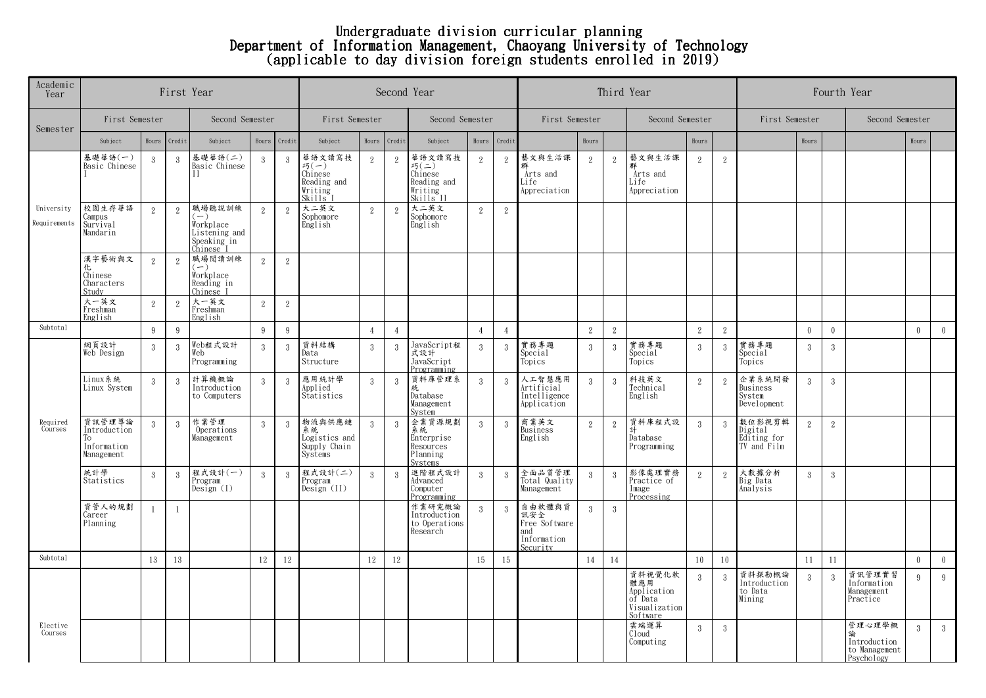## Undergraduate division curricular planning Department of Information Management, Chaoyang University of Technology (applicable to day division foreign students enrolled in 2019)

| Academic<br>Year           |                                                           | First Year   |               | Second Year                                                         |                | Third Year     | Fourth Year                                                   |                |                |                                                                                  |                |                |                                                                  |                |            |                                                                      |                |                |                                                 |                |              |                                                       |               |                |
|----------------------------|-----------------------------------------------------------|--------------|---------------|---------------------------------------------------------------------|----------------|----------------|---------------------------------------------------------------|----------------|----------------|----------------------------------------------------------------------------------|----------------|----------------|------------------------------------------------------------------|----------------|------------|----------------------------------------------------------------------|----------------|----------------|-------------------------------------------------|----------------|--------------|-------------------------------------------------------|---------------|----------------|
| Semester                   | First Semester                                            |              |               | Second Semester                                                     |                |                | First Semester                                                |                |                | Second Semester                                                                  |                |                | First Semester                                                   |                |            | Second Semester                                                      |                |                | First Semester                                  |                |              | Second Semester                                       |               |                |
|                            | Subject                                                   | Hours        | Credit        | Subject                                                             | Hours          | Credit         | Subject                                                       | Hours          | Credit         | Subject                                                                          | Hours          | Credit         |                                                                  | Hours          |            |                                                                      | Hours          |                |                                                 | Hours          |              |                                                       | Hours         |                |
| University<br>Requirements | 基礎華語(一)<br>Basic Chinese                                  | $\mathbf{3}$ | -3            | 基礎華語(二)<br>Basic Chinese<br>$\overline{\rm H}$                      | 3              | 3              | 華語文讀寫技<br>巧(一)<br>Chinese<br>Reading and<br>Writing<br>Skills | $\overline{2}$ | $\mathbf{2}$   | 華語文讀寫技<br>$F_1(\underline{=})$<br>Chinese<br>Reading and<br>Writing<br>Skills II | 2              | $\overline{2}$ | 藝文與生活課<br>Arts and<br>Life<br>Appreciation                       | 2              | $\,2\,$    | 藝文與生活課<br>Arts and<br>Life<br>Appreciation                           | 2              | 2              |                                                 |                |              |                                                       |               |                |
|                            | 校園生存華語<br>Campus<br>Survival<br>Mandarin                  | 2            | 2             | 職場聽說訓練<br>Workplace<br>Listening and<br>Speaking in<br>Chinese l    | 2              | 2              | 大二英文<br>Sophomore<br>English                                  | 2              | 2              | 大二英文<br>Sophomore<br>English                                                     | $\overline{2}$ | 2              |                                                                  |                |            |                                                                      |                |                |                                                 |                |              |                                                       |               |                |
|                            | 漢字藝術與文<br>化<br>Chinese<br>Characters<br>Study             | 2            | 2             | 職場閱讀訓練<br>$\left( -\right)$<br>Workplace<br>Reading in<br>Chinese I | $\mathcal{P}$  | 2              |                                                               |                |                |                                                                                  |                |                |                                                                  |                |            |                                                                      |                |                |                                                 |                |              |                                                       |               |                |
|                            | 大一英文<br>Freshman<br>English                               | 2            | 2             | 大一英文<br>Freshman<br>English                                         | $\overline{2}$ | $\overline{2}$ |                                                               |                |                |                                                                                  |                |                |                                                                  |                |            |                                                                      |                |                |                                                 |                |              |                                                       |               |                |
| Subtotal                   |                                                           | 9            | 9             |                                                                     | 9              | 9              |                                                               | $\overline{4}$ | $\overline{4}$ |                                                                                  | $\overline{4}$ | $\overline{4}$ |                                                                  | 2              | $\sqrt{2}$ |                                                                      | 2              | 2              |                                                 | $\theta$       | $\mathbf{0}$ |                                                       | $\mathbf{0}$  | $\mathbf{0}$   |
| Required<br>Courses        | 網頁設計<br>Web Design                                        | 3            | 3             | Web程式設計<br>Web<br>Programming                                       | 3              | 3              | 資料結構<br>Data<br>Structure                                     | 3              | 3              | JavaScript程<br>式設計<br>JavaScript<br>Programming                                  | 3              | 3              | 實務專題<br>Special<br>Topics                                        | 3              | 3          | 實務專題<br>Special<br>Topics                                            | 3              | $\mathcal{R}$  | 實務專題<br>Special<br>Topics                       | 3              | 3            |                                                       |               |                |
|                            | Linux 系統<br>Linux Svstem                                  | $\mathbf{3}$ | $\mathcal{S}$ | 計算機概論<br>Introduction<br>to Computers                               | $\mathbf{3}$   | $\mathcal{R}$  | 應用統計學<br>Applied<br>Statistics                                | 3              | 3              | 資料庫管理系<br>統<br>Database<br>Management<br>System                                  | $\overline{3}$ | 3              | 人工智慧應用<br>Artificial<br>Intelligence<br>Application              | $\overline{3}$ | 3          | 科技英文<br>Technical<br>English                                         | $\,2\,$        | $\overline{2}$ | 企業系統開發<br>Business<br>System<br>Development     | 3              | 3            |                                                       |               |                |
|                            | 資訊管理導論<br>Introduction<br>Tо<br>Information<br>Management | $\mathbf{3}$ | -3            | 作業管理<br>Operations<br>Management                                    | 3              | 3              | 物流與供應鏈<br>系統<br>Logistics and<br>Supply Chain<br>Systems      | 3              | 3              | 企業資源規劃<br>系統<br>Enterprise<br>Resources<br>Planning<br>Systems                   | 3              | -3             | 商業英文<br>Business<br>English                                      | $\overline{2}$ | $\sqrt{2}$ | 資料庫程式設<br>計<br>Database<br>Programming                               | 3              | 3              | 數位影視剪輯<br>Digital<br>Editing for<br>TV and Film | $\overline{2}$ | 2            |                                                       |               |                |
|                            | 統計學<br>Statistics                                         | 3            | $\mathcal{R}$ | 程式設計(一)<br>Program<br>Design (1)                                    | 3              | -3             | 程式設計(二)<br>Program<br>Design (II)                             | 3              | 3              | 進階程式設計<br>Advanced<br>Computer<br>Programming                                    | 3              | 3              | 全面品質管理<br>Total Quality<br>Management                            | $\overline{3}$ | 3          | 影像處理實務<br>Practice of<br>Image<br>Processing                         | 2              | 2              | 大數據分析<br>Big Data<br>Analysis                   | 3              | 3            |                                                       |               |                |
|                            | 資管人的規劃<br>Career<br>Planning                              |              |               |                                                                     |                |                |                                                               |                |                | 作業研究概論<br>Introduction<br>to Operations<br>Research                              | $\mathcal{R}$  | $\mathcal{S}$  | 自由軟體與資<br>訊安全<br>Free Software<br>and<br>Information<br>Security | $\mathcal{S}$  | 3          |                                                                      |                |                |                                                 |                |              |                                                       |               |                |
| Subtotal                   |                                                           | 13           | 13            |                                                                     | 12             | $12\,$         |                                                               | 12             | 12             |                                                                                  | 15             | 15             |                                                                  | 14             | 14         |                                                                      | 10             | 10             |                                                 | 11             | 11           |                                                       | $\theta$      | $\bf{0}$       |
|                            |                                                           |              |               |                                                                     |                |                |                                                               |                |                |                                                                                  |                |                |                                                                  |                |            | 資料視覺化軟<br>體應用<br>Application<br>of Data<br>Visualization<br>Software | $\overline{3}$ | $\mathcal{R}$  | 資料探勘概論<br>Introduction<br>to Data<br>Mining     | 3              | $\sqrt{3}$   | 資訊管理實習<br>Information<br>Management<br>Practice       | 9             | 9              |
| Elective<br>Courses        |                                                           |              |               |                                                                     |                |                |                                                               |                |                |                                                                                  |                |                |                                                                  |                |            | 雲端運算<br>Cloud<br>Computing                                           | 3              | 3              |                                                 |                |              | 管理心理學概<br>Introduction<br>to Management<br>Psychology | $\mathcal{S}$ | $\overline{3}$ |